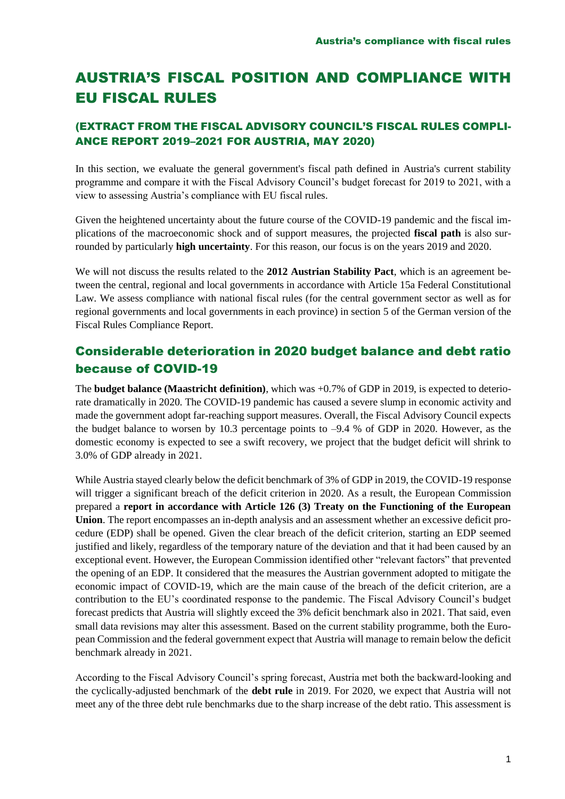# AUSTRIA'S FISCAL POSITION AND COMPLIANCE WITH EU FISCAL RULES

### (EXTRACT FROM THE FISCAL ADVISORY COUNCIL'S FISCAL RULES COMPLI-ANCE REPORT 2019–2021 FOR AUSTRIA, MAY 2020)

In this section, we evaluate the general government's fiscal path defined in Austria's current stability programme and compare it with the Fiscal Advisory Council's budget forecast for 2019 to 2021, with a view to assessing Austria's compliance with EU fiscal rules.

Given the heightened uncertainty about the future course of the COVID-19 pandemic and the fiscal implications of the macroeconomic shock and of support measures, the projected **fiscal path** is also surrounded by particularly **high uncertainty**. For this reason, our focus is on the years 2019 and 2020.

We will not discuss the results related to the **2012 Austrian Stability Pact**, which is an agreement between the central, regional and local governments in accordance with Article 15a Federal Constitutional Law. We assess compliance with national fiscal rules (for the central government sector as well as for regional governments and local governments in each province) in section 5 of the German version of the Fiscal Rules Compliance Report.

### Considerable deterioration in 2020 budget balance and debt ratio because of COVID-19

The **budget balance (Maastricht definition)**, which was +0.7% of GDP in 2019, is expected to deteriorate dramatically in 2020. The COVID-19 pandemic has caused a severe slump in economic activity and made the government adopt far-reaching support measures. Overall, the Fiscal Advisory Council expects the budget balance to worsen by 10.3 percentage points to –9.4 % of GDP in 2020. However, as the domestic economy is expected to see a swift recovery, we project that the budget deficit will shrink to 3.0% of GDP already in 2021.

While Austria stayed clearly below the deficit benchmark of 3% of GDP in 2019, the COVID-19 response will trigger a significant breach of the deficit criterion in 2020. As a result, the European Commission prepared a **report in accordance with Article 126 (3) Treaty on the Functioning of the European Union**. The report encompasses an in-depth analysis and an assessment whether an excessive deficit procedure (EDP) shall be opened. Given the clear breach of the deficit criterion, starting an EDP seemed justified and likely, regardless of the temporary nature of the deviation and that it had been caused by an exceptional event. However, the European Commission identified other "relevant factors" that prevented the opening of an EDP. It considered that the measures the Austrian government adopted to mitigate the economic impact of COVID-19, which are the main cause of the breach of the deficit criterion, are a contribution to the EU's coordinated response to the pandemic. The Fiscal Advisory Council's budget forecast predicts that Austria will slightly exceed the 3% deficit benchmark also in 2021. That said, even small data revisions may alter this assessment. Based on the current stability programme, both the European Commission and the federal government expect that Austria will manage to remain below the deficit benchmark already in 2021.

According to the Fiscal Advisory Council's spring forecast, Austria met both the backward-looking and the cyclically-adjusted benchmark of the **debt rule** in 2019. For 2020, we expect that Austria will not meet any of the three debt rule benchmarks due to the sharp increase of the debt ratio. This assessment is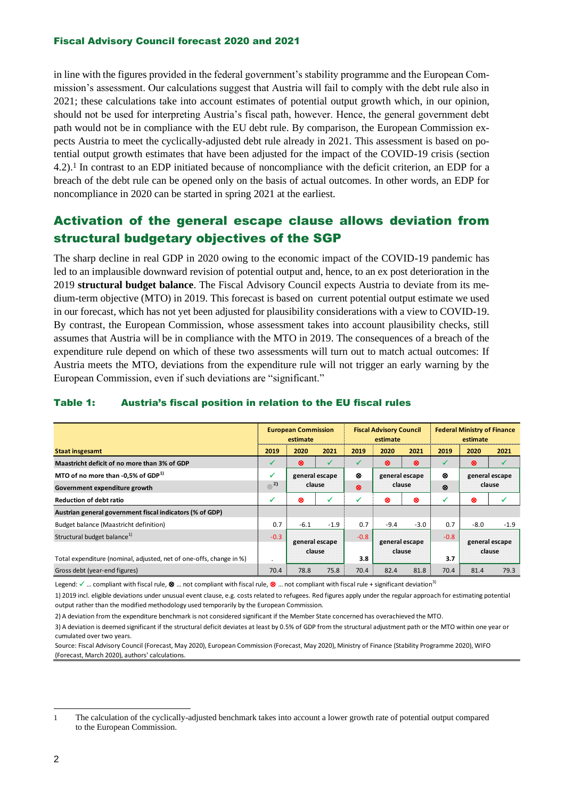#### Fiscal Advisory Council forecast 2020 and 2021

in line with the figures provided in the federal government's stability programme and the European Commission's assessment. Our calculations suggest that Austria will fail to comply with the debt rule also in 2021; these calculations take into account estimates of potential output growth which, in our opinion, should not be used for interpreting Austria's fiscal path, however. Hence, the general government debt path would not be in compliance with the EU debt rule. By comparison, the European Commission expects Austria to meet the cyclically-adjusted debt rule already in 2021. This assessment is based on potential output growth estimates that have been adjusted for the impact of the COVID-19 crisis (section 4.2).<sup>1</sup> In contrast to an EDP initiated because of noncompliance with the deficit criterion, an EDP for a breach of the debt rule can be opened only on the basis of actual outcomes. In other words, an EDP for noncompliance in 2020 can be started in spring 2021 at the earliest.

## Activation of the general escape clause allows deviation from structural budgetary objectives of the SGP

The sharp decline in real GDP in 2020 owing to the economic impact of the COVID-19 pandemic has led to an implausible downward revision of potential output and, hence, to an ex post deterioration in the 2019 **structural budget balance**. The Fiscal Advisory Council expects Austria to deviate from its medium-term objective (MTO) in 2019. This forecast is based on current potential output estimate we used in our forecast, which has not yet been adjusted for plausibility considerations with a view to COVID-19. By contrast, the European Commission, whose assessment takes into account plausibility checks, still assumes that Austria will be in compliance with the MTO in 2019. The consequences of a breach of the expenditure rule depend on which of these two assessments will turn out to match actual outcomes: If Austria meets the MTO, deviations from the expenditure rule will not trigger an early warning by the European Commission, even if such deviations are "significant."

|                                                                     | <b>European Commission</b><br>estimate |                          |        | <b>Fiscal Advisory Council</b><br>estimate |                          |        | <b>Federal Ministry of Finance</b><br>estimate |                          |        |
|---------------------------------------------------------------------|----------------------------------------|--------------------------|--------|--------------------------------------------|--------------------------|--------|------------------------------------------------|--------------------------|--------|
| <b>Staat insgesamt</b>                                              | 2019                                   | 2020                     | 2021   | 2019                                       | 2020                     | 2021   | 2019                                           | 2020                     | 2021   |
| Maastricht deficit of no more than 3% of GDP                        |                                        | ⊗                        | ✓      |                                            | ⊗                        | ⊗      | ✔                                              | ⊗                        | v      |
| MTO of no more than -0,5% of GDP <sup>1)</sup>                      | $\checkmark$                           | general escape           |        | ⊗                                          | general escape           |        | ⊗                                              | general escape           |        |
| Government expenditure growth                                       | $\otimes^2$                            | clause                   |        | ⊗                                          | clause                   |        | ⊗                                              | clause                   |        |
| <b>Reduction of debt ratio</b>                                      | ✓                                      | ⊗                        | ✓      | v                                          | ⊗                        | ⊗      | v                                              | ⊗                        |        |
| Austrian general government fiscal indicators (% of GDP)            |                                        |                          |        |                                            |                          |        |                                                |                          |        |
| Budget balance (Maastricht definition)                              | 0.7                                    | $-6.1$                   | $-1.9$ | 0.7                                        | $-9.4$                   | $-3.0$ | 0.7                                            | $-8.0$                   | $-1.9$ |
| Structural budget balance <sup>1)</sup>                             | $-0.3$                                 | general escape<br>clause |        | $-0.8$                                     | general escape<br>clause |        | $-0.8$                                         | general escape<br>clause |        |
| Total expenditure (nominal, adjusted, net of one-offs, change in %) |                                        |                          |        | 3.8                                        |                          |        | 3.7                                            |                          |        |
| Gross debt (year-end figures)                                       | 70.4                                   | 78.8                     | 75.8   | 70.4                                       | 82.4                     | 81.8   | 70.4                                           | 81.4                     | 79.3   |

#### Table 1: Austria's fiscal position in relation to the EU fiscal rules

Legend:  $\checkmark$  ... compliant with fiscal rule,  $\mathbf{\otimes}$  ... not compliant with fiscal rule,  $\mathbf{\otimes}$  ... not compliant with fiscal rule + significant deviation<sup>3)</sup>

1) 2019 incl. eligible deviations under unusual event clause, e.g. costs related to refugees. Red figures apply under the regular approach for estimating potential output rather than the modified methodology used temporarily by the European Commission.

2) A deviation from the expenditure benchmark is not considered significant if the Member State concerned has overachieved the MTO.

3) A deviation is deemed significant if the structural deficit deviates at least by 0.5% of GDP from the structural adjustment path or the MTO within one year or cumulated over two years.

Source: Fiscal Advisory Council (Forecast, May 2020), European Commission (Forecast, May 2020), Ministry of Finance (Stability Programme 2020), WIFO (Forecast, March 2020), authors' calculations.

<sup>1</sup> The calculation of the cyclically-adjusted benchmark takes into account a lower growth rate of potential output compared to the European Commission.